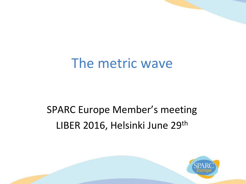#### The metric wave

#### SPARC Europe Member's meeting LIBER 2016, Helsinki June 29<sup>th</sup>

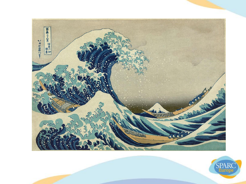

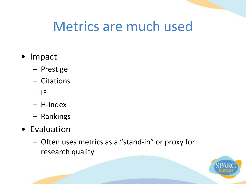#### Metrics are much used

- Impact
	- Prestige
	- Citations
	- $-$  IF
	- H-index
	- Rankings
- Evaluation
	- Often uses metrics as a "stand-in" or proxy for research quality

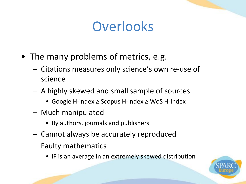#### **Overlooks**

- The many problems of metrics, e.g.
	- Citations measures only science's own re-use of science
	- A highly skewed and small sample of sources
		- Google H-index ≥ Scopus H-index ≥ WoS H-index
	- Much manipulated
		- By authors, journals and publishers
	- Cannot always be accurately reproduced
	- Faulty mathematics
		- IF is an average in an extremely skewed distribution

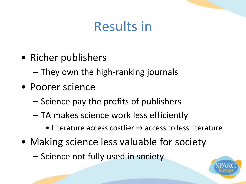# Results in

• Richer publishers

– They own the high-ranking journals

- Poorer science
	- Science pay the profits of publishers
	- TA makes science work less efficiently
		- Literature access costlier  $\Rightarrow$  access to less literature
- Making science less valuable for society
	- Science not fully used in society

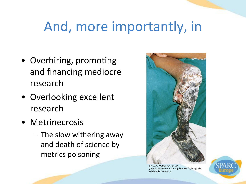# And, more importantly, in

- Overhiring, promoting and financing mediocre research
- Overlooking excellent research
- Metrinecrosis
	- The slow withering away and death of science by metrics poisoning



By D. A. Warrell [CC BY 2.5 (http://creativecommons.org/licenses/by/2.5)], via Wikimedia Commons

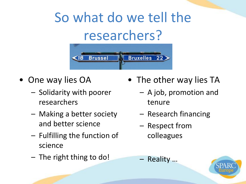# So what do we tell the researchers?



- One way lies OA
	- Solidarity with poorer researchers
	- Making a better society and better science
	- Fulfilling the function of science
	- The right thing to do!
- The other way lies TA
	- A job, promotion and tenure
	- Research financing
	- Respect from colleagues

– Reality …

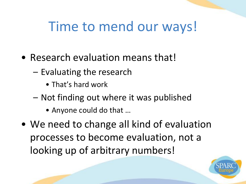#### Time to mend our ways!

- Research evaluation means that!
	- Evaluating the research
		- That's hard work
	- Not finding out where it was published
		- Anyone could do that …
- We need to change all kind of evaluation processes to become evaluation, not a looking up of arbitrary numbers!

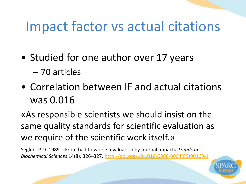# Impact factor vs actual citations

- Studied for one author over 17 years
	- 70 articles
- Correlation between IF and actual citations was 0.016

«As responsible scientists we should insist on the same quality standards for scientific evaluation as we require of the scientific work itself.»

Seglen, P.O. 1989. «From bad to worse: evaluation by Journal Impact» *Trends in Biochemical Sciences* 14(8), 326–327. [http://doi.org/10.1016/0968-0004\(89\)90163-1](http://doi.org/10.1016/0968-0004(89)90163-1)

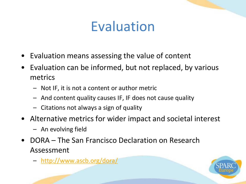#### Evaluation

- Evaluation means assessing the value of content
- Evaluation can be informed, but not replaced, by various metrics
	- Not IF, it is not a content or author metric
	- And content quality causes IF, IF does not cause quality
	- Citations not always a sign of quality
- Alternative metrics for wider impact and societal interest
	- An evolving field
- DORA The San Francisco Declaration on Research Assessment
	- <http://www.ascb.org/dora/>

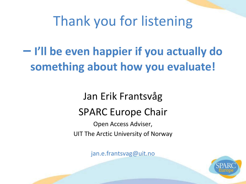# Thank you for listening

**– I'll be even happier if you actually do something about how you evaluate!**

# Jan Erik Frantsvåg SPARC Europe Chair

Open Access Adviser, UIT The Arctic University of Norway

jan.e.frantsvag@uit.no